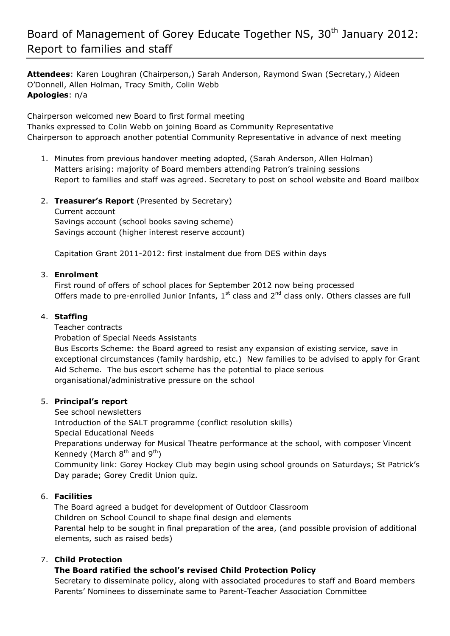# Board of Management of Gorey Educate Together NS, 30<sup>th</sup> January 2012: Report to families and staff

**Attendees**: Karen Loughran (Chairperson,) Sarah Anderson, Raymond Swan (Secretary,) Aideen O'Donnell, Allen Holman, Tracy Smith, Colin Webb **Apologies**: n/a

Chairperson welcomed new Board to first formal meeting Thanks expressed to Colin Webb on joining Board as Community Representative Chairperson to approach another potential Community Representative in advance of next meeting

- 1. Minutes from previous handover meeting adopted, (Sarah Anderson, Allen Holman) Matters arising: majority of Board members attending Patron's training sessions Report to families and staff was agreed. Secretary to post on school website and Board mailbox
- 2. **Treasurer's Report** (Presented by Secretary) Current account Savings account (school books saving scheme) Savings account (higher interest reserve account)

Capitation Grant 2011-2012: first instalment due from DES within days

### 3. **Enrolment**

First round of offers of school places for September 2012 now being processed Offers made to pre-enrolled Junior Infants,  $1<sup>st</sup>$  class and  $2<sup>nd</sup>$  class only. Others classes are full

#### 4. **Staffing**

Teacher contracts

Probation of Special Needs Assistants

Bus Escorts Scheme: the Board agreed to resist any expansion of existing service, save in exceptional circumstances (family hardship, etc.) New families to be advised to apply for Grant Aid Scheme. The bus escort scheme has the potential to place serious organisational/administrative pressure on the school

### 5. **Principal's report**

See school newsletters Introduction of the SALT programme (conflict resolution skills) Special Educational Needs Preparations underway for Musical Theatre performance at the school, with composer Vincent Kennedy (March  $8<sup>th</sup>$  and  $9<sup>th</sup>$ ) Community link: Gorey Hockey Club may begin using school grounds on Saturdays; St Patrick's Day parade; Gorey Credit Union quiz.

### 6. **Facilities**

The Board agreed a budget for development of Outdoor Classroom Children on School Council to shape final design and elements Parental help to be sought in final preparation of the area, (and possible provision of additional elements, such as raised beds)

### 7. **Child Protection**

### **The Board ratified the school's revised Child Protection Policy**

Secretary to disseminate policy, along with associated procedures to staff and Board members Parents' Nominees to disseminate same to Parent-Teacher Association Committee